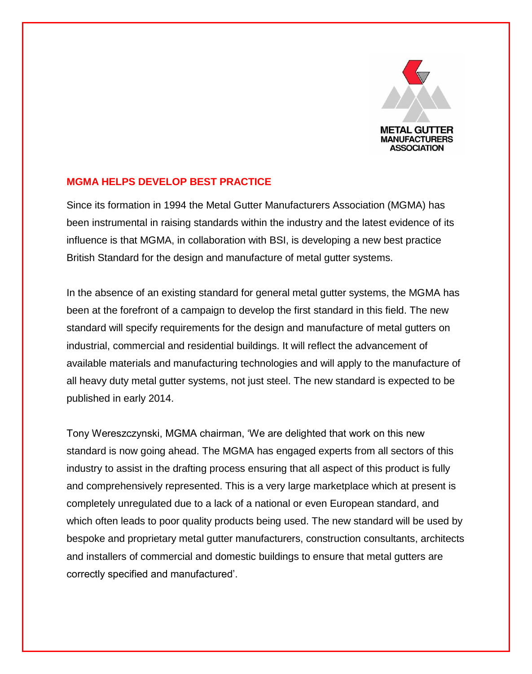

## **MGMA HELPS DEVELOP BEST PRACTICE**

Since its formation in 1994 the Metal Gutter Manufacturers Association (MGMA) has been instrumental in raising standards within the industry and the latest evidence of its influence is that MGMA, in collaboration with BSI, is developing a new best practice British Standard for the design and manufacture of metal gutter systems.

In the absence of an existing standard for general metal gutter systems, the MGMA has been at the forefront of a campaign to develop the first standard in this field. The new standard will specify requirements for the design and manufacture of metal gutters on industrial, commercial and residential buildings. It will reflect the advancement of available materials and manufacturing technologies and will apply to the manufacture of all heavy duty metal gutter systems, not just steel. The new standard is expected to be published in early 2014.

Tony Wereszczynski, MGMA chairman, 'We are delighted that work on this new standard is now going ahead. The MGMA has engaged experts from all sectors of this industry to assist in the drafting process ensuring that all aspect of this product is fully and comprehensively represented. This is a very large marketplace which at present is completely unregulated due to a lack of a national or even European standard, and which often leads to poor quality products being used. The new standard will be used by bespoke and proprietary metal gutter manufacturers, construction consultants, architects and installers of commercial and domestic buildings to ensure that metal gutters are correctly specified and manufactured'.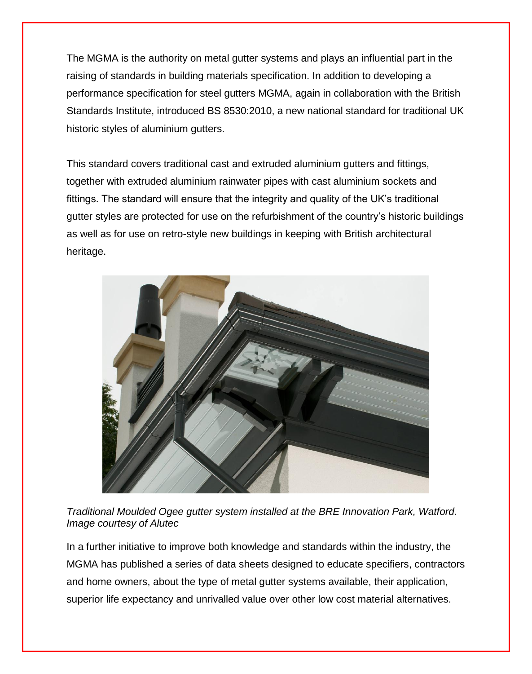The MGMA is the authority on metal gutter systems and plays an influential part in the raising of standards in building materials specification. In addition to developing a performance specification for steel gutters MGMA, again in collaboration with the British Standards Institute, introduced BS 8530:2010, a new national standard for traditional UK historic styles of aluminium gutters.

This standard covers traditional cast and extruded aluminium gutters and fittings, together with extruded aluminium rainwater pipes with cast aluminium sockets and fittings. The standard will ensure that the integrity and quality of the UK's traditional gutter styles are protected for use on the refurbishment of the country's historic buildings as well as for use on retro-style new buildings in keeping with British architectural heritage.



*Traditional Moulded Ogee gutter system installed at the BRE Innovation Park, Watford. Image courtesy of Alutec* 

In a further initiative to improve both knowledge and standards within the industry, the MGMA has published a series of data sheets designed to educate specifiers, contractors and home owners, about the type of metal gutter systems available, their application, superior life expectancy and unrivalled value over other low cost material alternatives.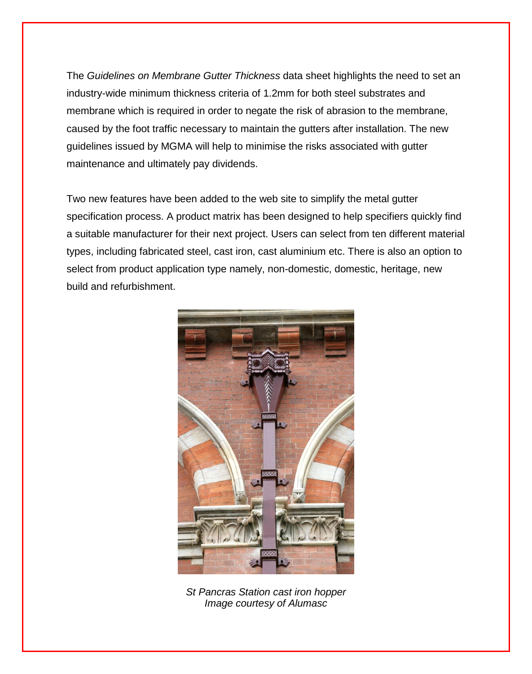The *Guidelines on Membrane Gutter Thickness* data sheet highlights the need to set an industry-wide minimum thickness criteria of 1.2mm for both steel substrates and membrane which is required in order to negate the risk of abrasion to the membrane, caused by the foot traffic necessary to maintain the gutters after installation. The new guidelines issued by MGMA will help to minimise the risks associated with gutter maintenance and ultimately pay dividends.

Two new features have been added to the web site to simplify the metal gutter specification process. A product matrix has been designed to help specifiers quickly find a suitable manufacturer for their next project. Users can select from ten different material types, including fabricated steel, cast iron, cast aluminium etc. There is also an option to select from product application type namely, non-domestic, domestic, heritage, new build and refurbishment.



*St Pancras Station cast iron hopper Image courtesy of Alumasc*